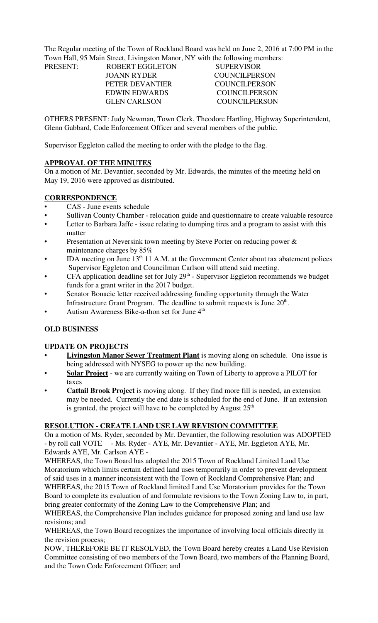The Regular meeting of the Town of Rockland Board was held on June 2, 2016 at 7:00 PM in the Town Hall, 95 Main Street, Livingston Manor, NY with the following members:

| PRESENT: | ROBERT EGGLETON      | <b>SUPERVISOR</b> |
|----------|----------------------|-------------------|
|          | JOANN RYDER          | COUNCIL PERSON    |
|          | PETER DEVANTIER      | COUNCIL PERSON    |
|          | <b>EDWIN EDWARDS</b> | COUNCILPERSON     |
|          | <b>GLEN CARLSON</b>  | COUNCILPERSON     |
|          |                      |                   |

OTHERS PRESENT: Judy Newman, Town Clerk, Theodore Hartling, Highway Superintendent, Glenn Gabbard, Code Enforcement Officer and several members of the public.

Supervisor Eggleton called the meeting to order with the pledge to the flag.

#### **APPROVAL OF THE MINUTES**

On a motion of Mr. Devantier, seconded by Mr. Edwards, the minutes of the meeting held on May 19, 2016 were approved as distributed.

#### **CORRESPONDENCE**

- CAS June events schedule
- Sullivan County Chamber relocation guide and questionnaire to create valuable resource
- Letter to Barbara Jaffe issue relating to dumping tires and a program to assist with this matter
- Presentation at Neversink town meeting by Steve Porter on reducing power  $\&$ maintenance charges by 85%
- IDA meeting on June 13<sup>th</sup> 11 A.M. at the Government Center about tax abatement polices Supervisor Eggleton and Councilman Carlson will attend said meeting.
- CFA application deadline set for July  $29<sup>th</sup>$  Supervisor Eggleton recommends we budget funds for a grant writer in the 2017 budget.
- Senator Bonacic letter received addressing funding opportunity through the Water Infrastructure Grant Program. The deadline to submit requests is June  $20<sup>th</sup>$ .
- Autism Awareness Bike-a-thon set for June  $4<sup>th</sup>$

#### **OLD BUSINESS**

#### **UPDATE ON PROJECTS**

- **Livingston Manor Sewer Treatment Plant** is moving along on schedule. One issue is being addressed with NYSEG to power up the new building.
- **Solar Project** we are currently waiting on Town of Liberty to approve a PILOT for taxes
- **Cattail Brook Project** is moving along. If they find more fill is needed, an extension may be needed. Currently the end date is scheduled for the end of June. If an extension is granted, the project will have to be completed by August  $25<sup>th</sup>$

#### **RESOLUTION - CREATE LAND USE LAW REVISION COMMITTEE**

On a motion of Ms. Ryder, seconded by Mr. Devantier, the following resolution was ADOPTED - by roll call VOTE - Ms. Ryder - AYE, Mr. Devantier - AYE, Mr. Eggleton AYE, Mr. Edwards AYE, Mr. Carlson AYE -

WHEREAS, the Town Board has adopted the 2015 Town of Rockland Limited Land Use Moratorium which limits certain defined land uses temporarily in order to prevent development of said uses in a manner inconsistent with the Town of Rockland Comprehensive Plan; and WHEREAS, the 2015 Town of Rockland limited Land Use Moratorium provides for the Town Board to complete its evaluation of and formulate revisions to the Town Zoning Law to, in part, bring greater conformity of the Zoning Law to the Comprehensive Plan; and

WHEREAS, the Comprehensive Plan includes guidance for proposed zoning and land use law revisions; and

WHEREAS, the Town Board recognizes the importance of involving local officials directly in the revision process;

NOW, THEREFORE BE IT RESOLVED, the Town Board hereby creates a Land Use Revision Committee consisting of two members of the Town Board, two members of the Planning Board, and the Town Code Enforcement Officer; and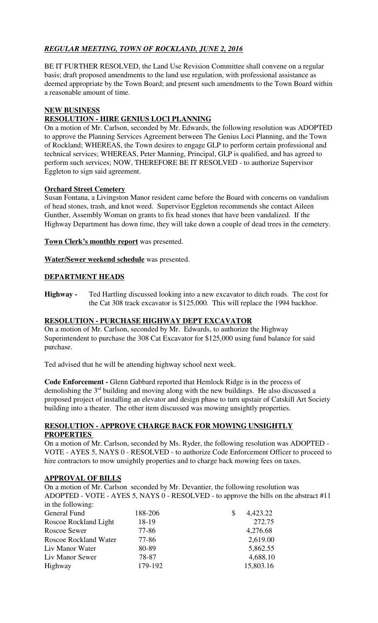## *REGULAR MEETING, TOWN OF ROCKLAND, JUNE 2, 2016*

BE IT FURTHER RESOLVED, the Land Use Revision Committee shall convene on a regular basis; draft proposed amendments to the land use regulation, with professional assistance as deemed appropriate by the Town Board; and present such amendments to the Town Board within a reasonable amount of time.

#### **NEW BUSINESS**

## **RESOLUTION - HIRE GENIUS LOCI PLANNING**

On a motion of Mr. Carlson, seconded by Mr. Edwards, the following resolution was ADOPTED to approve the Planning Services Agreement between The Genius Loci Planning, and the Town of Rockland; WHEREAS, the Town desires to engage GLP to perform certain professional and technical services; WHEREAS, Peter Manning, Principal, GLP is qualified, and has agreed to perform such services; NOW, THEREFORE BE IT RESOLVED - to authorize Supervisor Eggleton to sign said agreement.

#### **Orchard Street Cemetery**

Susan Fontana, a Livingston Manor resident came before the Board with concerns on vandalism of head stones, trash, and knot weed. Supervisor Eggleton recommends she contact Aileen Gunther, Assembly Woman on grants to fix head stones that have been vandalized. If the Highway Department has down time, they will take down a couple of dead trees in the cemetery.

**Town Clerk's monthly report** was presented.

**Water/Sewer weekend schedule** was presented.

### **DEPARTMENT HEADS**

**Highway -** Ted Hartling discussed looking into a new excavator to ditch roads. The cost for the Cat 308 track excavator is \$125,000. This will replace the 1994 backhoe.

#### **RESOLUTION - PURCHASE HIGHWAY DEPT EXCAVATOR**

On a motion of Mr. Carlson, seconded by Mr. Edwards, to authorize the Highway Superintendent to purchase the 308 Cat Excavator for \$125,000 using fund balance for said purchase.

Ted advised that he will be attending highway school next week.

**Code Enforcement -** Glenn Gabbard reported that Hemlock Ridge is in the process of demolishing the  $3<sup>rd</sup>$  building and moving along with the new buildings. He also discussed a proposed project of installing an elevator and design phase to turn upstair of Catskill Art Society building into a theater. The other item discussed was mowing unsightly properties.

#### **RESOLUTION - APPROVE CHARGE BACK FOR MOWING UNSIGHTLY PROPERTIES**

On a motion of Mr. Carlson, seconded by Ms. Ryder, the following resolution was ADOPTED - VOTE - AYES 5, NAYS 0 - RESOLVED - to authorize Code Enforcement Officer to proceed to hire contractors to mow unsightly properties and to charge back mowing fees on taxes.

#### **APPROVAL OF BILLS**

On a motion of Mr. Carlson seconded by Mr. Devantier, the following resolution was ADOPTED - VOTE - AYES 5, NAYS 0 - RESOLVED - to approve the bills on the abstract #11 in the following:

| $\frac{1}{2}$ and $\frac{1}{2}$ and $\frac{1}{2}$ and $\frac{1}{2}$ and $\frac{1}{2}$ and $\frac{1}{2}$ and $\frac{1}{2}$ and $\frac{1}{2}$ and $\frac{1}{2}$ and $\frac{1}{2}$ and $\frac{1}{2}$ and $\frac{1}{2}$ and $\frac{1}{2}$ and $\frac{1}{2}$ and $\frac{1}{2}$ and $\frac{1}{2}$ a |         |                |  |
|-----------------------------------------------------------------------------------------------------------------------------------------------------------------------------------------------------------------------------------------------------------------------------------------------|---------|----------------|--|
| General Fund                                                                                                                                                                                                                                                                                  | 188-206 | 4,423.22<br>\$ |  |
| Roscoe Rockland Light                                                                                                                                                                                                                                                                         | 18-19   | 272.75         |  |
| Roscoe Sewer                                                                                                                                                                                                                                                                                  | 77-86   | 4,276.68       |  |
| <b>Roscoe Rockland Water</b>                                                                                                                                                                                                                                                                  | 77-86   | 2,619.00       |  |
| Liv Manor Water                                                                                                                                                                                                                                                                               | 80-89   | 5,862.55       |  |
| Liv Manor Sewer                                                                                                                                                                                                                                                                               | 78-87   | 4,688.10       |  |
| Highway                                                                                                                                                                                                                                                                                       | 179-192 | 15,803.16      |  |
|                                                                                                                                                                                                                                                                                               |         |                |  |